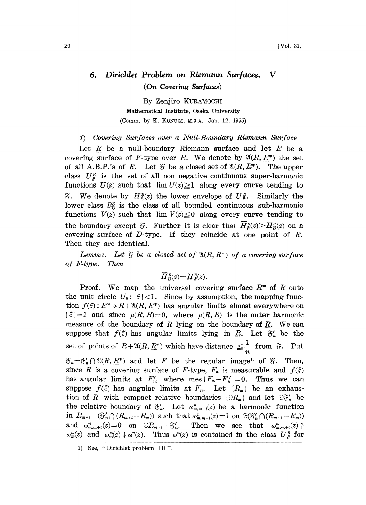## 6. Dirichlet Problem on Riemann Surfaces. V (On Covering Surfaces)

By Zenjiro KURAMOCHI Mathematical Institute, Osaka University (Comm. by K. KUNUGI, M.J.A., Jan. 12, 1955)

## 1) Covering Surfaces over a Null-Boundary Riemann Surface

Let  $R$  be a null-boundary Riemann surface and let  $R$  be a covering surface of F-type over R. We denote by  $\mathfrak{A}(R, R^*)$  the set of all A.B.P.'s of R. Let  $\mathfrak F$  be a closed set of  $\mathfrak A(R, \underline{R^*})$ . The upper class  $U_{\tilde{\sigma}}^n$  is the set of all non negative continuous super-harmonic functions  $U(z)$  such that  $\lim U(z) \geq 1$  along every curve tending to  $\mathfrak{F}.$  We denote by  $\overline{H}_{\mathfrak{F}}^{R}(z)$  the lower envelope of  $U_{\mathfrak{F}}^{R}$ . Similarly the lower class  $B_{\tilde{\sigma}}^n$  is the class of all bounded continuous sub-harmonic functions  $V(z)$  such that  $\lim V(z) \leq 0$  along every curve tending to R functions  $V(z)$  such that  $\lim V(z) \leq 0$  along every curve tending to<br>the boundary except  $\widetilde{v}$ . Further it is clear that  $\overline{H}_{\widetilde{v}}^R(z) \geq \underline{H}_{\widetilde{v}}^R(z)$  on a covering surface of D-type. If they coincide at one point of R. Then they are identical.

Lemma. Let  $\mathfrak F$  be a closed set of  $\mathfrak A(R,\underline{R^*})$  of a covering surface of F-type. Then

 $\overline{H}_{\Re}^{R}(z) = \underline{H}_{\Re}^{R}(z).$ 

Proof. We map the universal covering surface  $R^{\infty}$  of R onto the unit circle  $U_{\epsilon}: |\xi| < 1$ . Since by assumption, the mapping function  $f(\xi): R^{\infty} \to R+ \mathfrak{A}(R, R^*)$  has angular limits almost everywhere on  $|\xi|=1$  and since  $\mu(R,B)=0$ , where  $\mu(R,B)$  is the outer harmonic measure of the boundary of R lying on the boundary of R. We can suppose that  $f(\xi)$  has angular limits lying in  $\underline{R}$ . Let  $\mathfrak{F}'_n$  be the set of points of  $R+\mathfrak{A}(R,\underline{R}^*)$  which have distance  $\leq \frac{1}{n}$  from  $\mathfrak{F}$ . Put  $\mathfrak{F}_n = \mathfrak{F}'_n \cap \mathfrak{A}(R, \underline{R}^*)$  and let F be the regular image<sup>1</sup> of  $\mathfrak{F}$ . Then, since R is a covering surface of F-type,  $F_n$  is measurable and  $f(\xi)$ has angular limits at  $F'_n$ , where mes  $|F_n-F'_n|=0$ . Thus we can suppose  $f(\xi)$  has angular limits at  $F_n$ . Let  $\{R_m\}$  be an exhaustion of R with compact relative boundaries  $\{\partial R_{m}\}\$  and let  $\partial \mathfrak{F}'_{n}$  be the relative boundary of  $\mathfrak{F}'_n$ . Let  $\omega_{m,m+i}^n(z)$  be a harmonic function<br>in  $R_{m+i} - (\mathfrak{F}'_n \cap (R_{m+i} - R_m))$  such that  $\omega_{m,m+i}^n(z) = 1$  on  $\partial(\mathfrak{F}'_n \cap (R_{m+i} - R_m))$ in  $R_{m+i}-(\mathfrak{F}'_n\cap(R_{m+i}-R_m))$  such that  $\omega_{m,m+i}^n(z)=1$  on  $\partial(\mathfrak{F}'_n\cap(R_{m+i}-R_m))$ <br>and  $\omega_{m,m+i}^n(z)=0$  on  $\partial R_{m+i}-\mathfrak{F}'_n$ . Then we see that  $\omega_{m,m+i}^n(z)\uparrow$  $\omega_m^n(z)$  and  $\omega_m^n(z) \downarrow \omega^n(z)$ . Thus  $\omega^n(z)$  is contained in the class  $U_{\tilde{\sigma}}^R$  for

<sup>1)</sup> See, "Dirichlet problem. III"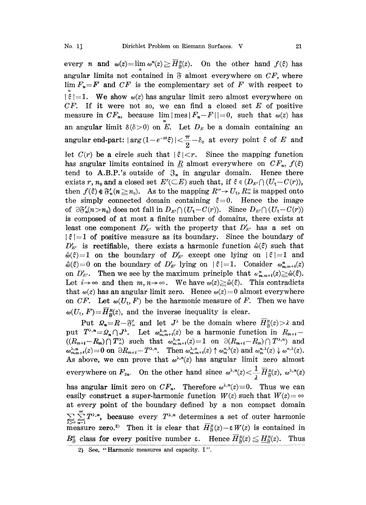every *n* and  $\omega(z) = \lim_{\alpha} \omega^n(z) \ge \overline{H}_{\mathfrak{F}}^R(z)$ . On the other hand  $f(\xi)$  has angular limits not contained in  $\mathfrak F$  almost everywhere on  $CF$ , where  $\lim F_n = F$  and  $CF$  is the complementary set of F with respect to  $|\xi|=1$ . We show  $\omega(z)$  has angular limit zero almost everywhere on  $CF.$  If it were not so, we can find a closed set  $E$  of positive measure in  $CF_n$ , because  $\lim|\text{mes}|F_n-F||=0$ , such that  $\omega(z)$  has an angular limit  $\delta(\delta > 0)$  on E. Let  $D_E$  be a domain containing an angular end-part:  $|\arg(1-e^{-i\theta}\xi)|<\frac{\pi}{2}-\delta_0$  at every point  $\xi$  of E and let  $C(r)$  be a circle such that  $|\xi| < r$ . Since the mapping function has angular limits contained in R almost everywhere on  $CF_n$ ,  $f(\xi)$ tend to A.B.P.'s outside of  $\mathfrak{F}_n$  in angular domain. Hence there exists r,  $n_0$  and a closed set  $E'(\subseteq E)$  such that, if  $\xi \in (D_{E'} \cap (U_{\xi} - C(r)))$ ,<br>then  $f(\xi) \notin \mathfrak{F}'_n(n \geq n_0)$ . As to the mapping  $R^{\infty} \to U_{\xi}$ ,  $R^{\infty}_n$  is mapped onto the simply connected domain containing  $\xi = 0$ . Hence the image of  $\partial \mathfrak{F}'_n(n>n_0)$  does not fall in  $D_{E'} \cap (U_{\epsilon}-C(r))$ . Since  $D_{E'} \cap (U_{\epsilon}-C(r))$ is composed of at most a finite number of domains, there exists at least one component  $D'_{E'}$  with the property that  $D'_{E'}$  has a set on  $|\xi|=1$  of positive measure as its boundary. Since the boundary of  $D'_{E'}$  is rectifiable, there exists a harmonic function  $\hat{\omega}(\hat{\xi})$  such that  $\hat{\omega}(\xi)=1$  on the boundary of  $D'_{E'}$  except one lying on  $|\xi|=1$  and  $\hat{\omega}(\xi)=0$  on the boundary of  $D'_{E'}$  lying on  $|\xi|=1$ . Consider  $\omega_{m,m+i}^n(z)$ on  $D'_{E'}$ . Then we see by the maximum principle that  $\alpha_{m,m+i}^n(z) \geq \hat{\omega}(\xi)$ . Let  $i \rightarrow \infty$  and then  $m, n \rightarrow \infty$ . We have  $\omega(z) \geq \hat{\omega}(\xi)$ . This contradicts that  $\omega(z)$  has an angular limit zero. Hence  $\omega(z)=0$  almost everywhere on CF. Let  $\omega(U_{\varepsilon}, F)$  be the harmonic measure of F. Then we have  $\omega(U_{\xi}, F)=H_{\mathcal{R}}^{R}(z)$ , and the inverse inequality is clear.

Put  $\mathcal{Q}_n = R - \mathfrak{F}'_n$  and let  $J^{\lambda}$  be the domain where  $\overline{H}_{\mathfrak{F}}^n(z) > \lambda$  and put  $T^{\lambda,n} = \Omega_n \cap J^{\lambda}$ . Let  $\omega_{m,m+i}^{\lambda,n}(z)$  be a harmonic function in  $R_{m+i}$  $((R_{m+i}-R_m)\cap T_n^{\lambda})$  such that  $\omega_{m,m+i}^{\lambda,n}(z)=1$  on  $\partial(R_{m+i}-R_m)\cap T^{\lambda,n})$  and  $\omega_{m,m+t}^{\lambda,n}(z) = 0$  on  $\partial R_{m+t} - T^{\lambda,n}$ . Then  $\omega_{m,m+t}^{\lambda,n}(z) \uparrow \omega_m^{n,\lambda}(z)$  and  $\omega_m^{m,\lambda}(z) \downarrow \omega^{n,\lambda}(z)$ .<br>As above, we can prove that  $\omega^{\lambda,n}(z)$  has angular limit zero almost As above, we can prove that  $\omega^{\lambda,n}(z)$  has angular limit zero almost everywhere on  $F_{2n}$ . On the other hand since  $\omega^{\lambda,n}(z) < \frac{1}{\lambda} \overline{H}_{\mathfrak{F}}^{n}(z)$ . has angular limit zero on  $CF_n$ . Therefore  $\omega^{\lambda,n}(z)=0$ . Thus we can easily construct a super-harmonic function  $W(z)$  such that  $W(z) = \infty$ at every point of the boundary defined by a non compact domain  $\sum_{\lambda>0} \sum_{n=1}^{\infty} T^{\lambda,n}$ , because every  $T^{\lambda,n}$  determines a set of outer harmonic measure zero.<sup>2)</sup> Then it is clear that  $\overline{H}_{\mathcal{F}}^R(z)-\varepsilon W(z)$  is contained in  $B_{\frak F}^n$  class for every positive number  $\varepsilon.$  Hence  $\overline{H}_{\frak F}^n(z)\leqq \underline{H}_{\frak F}^n(z).$  Thus

<sup>2)</sup> See, "Harmonic measures and capacity. I".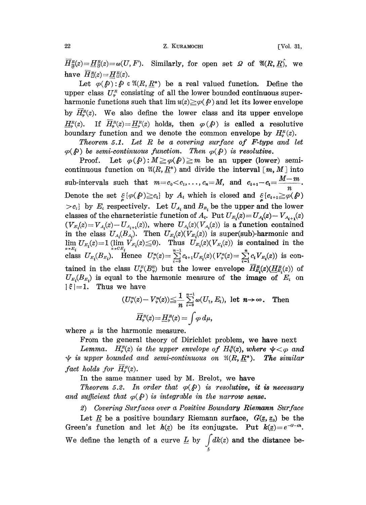## 22 Z. KURAMOCHI [Vol. 31,

 $\overline{H}_{\mathcal{R}}^R(z) = \underline{H}_{\mathcal{R}}^R(z) = \omega(U, F)$ . Similarly, for open set  $\Omega$  of  $\mathfrak{A}(R, R)$ , we have  $\overline{H}_{0}^{R}(z) = H_{0}^{R}(z)$ .

Let  $\varphi(\mathcal{P}): \mathcal{P} \in \mathfrak{A}(R, R^*)$  be a real valued function. Define the upper class  $U^R_{\varphi}$  consisting of all the lower bounded continuous superharmonic functions such that  $\lim u(z) \ge \varphi(\rho)$  and let its lower envelope by  $H_{\alpha}^{R}(z)$ . We also define the lower class and its upper envelope  $\underline{H}_{\varphi}^{R}(z)$ . If  $H_{\varphi}^{R}(z) = \underline{H}_{\varphi}^{R}(z)$  holds, then  $\varphi(\varphi)$  is called a resolutive boundary function and we denote the common envelope by  $H_s^{\scriptscriptstyle R}(z)$ .

Theorem 5.1. Let R be a covering surface of F-type and let  $\varphi(\hat{\beta})$  be semi-continuous function. Then  $\varphi(\hat{\beta})$  is resolutive.<br>  $\text{Dose}$  is resolutive.  $\varphi(\beta)$  be semi-continuous function. Then  $\varphi(\beta)$  is resolutive.<br>Proof. Let  $\varphi(\beta) : M \ge \varphi(\beta) \ge m$  be an upper (lower) semi-

continuous function on  $\mathfrak{A}(R, \underline{R}^*)$  and divide the interval  $[m, M]$  into sub-intervals such that  $m=c_0 < c_1, \ldots, c_n=M$ , and  $c_{i+1}-c_i=\frac{M-m}{m}$ n Denote the set  $\xi(\varphi(\mathbf{\hat{p}})\geq c_i)$  by  $A_i$  which is closed and  $\xi(c_{i+1}\geq \varphi(\mathbf{\hat{p}}))$  $>c_i$  by  $E_i$  respectively. Let  $U_{A_i}$  and  $B_{B_i}$  be the upper and the lower classes of the characteristic function of  $A_i$ . Put  $U_{E_i}(z) = U_{A_i}(z) - V_{A_{i+1}}(z)$  $(V_{E_i}(z) = V_{A_i}(z) - U_{A_{i+1}}(z)$ , where  $U_{A_i}(z)$ ( $V_{A_i}(z)$ ) is a function contained in the class  $U_{A_i}(B_{A_i})$ . Then  $U_{E_i}(z)(V_{E_i}(z))$  is super(sub)-harmonic and  $\lim_{z\to E_i} U_{E_i}(z) = 1 \lim_{z\to C E_i} V_{E_i}(z) \leq 0$ . Thus  $U_{E_i}(z) (V_{E_i}(z))$  is contained in the class  $U_{E_i}(B_{E_i})$ . Hence  $U_{\varphi}^n(z) = \sum_{\iota} c_{\iota+1} U_{E_i}(z) (V_{\varphi}^n(z) = \sum_{\iota} c_{\iota} V_{E_i}(z))$  is contained in the class  $U^{\scriptscriptstyle R}_{\scriptscriptstyle\varphi}(B_{\scriptscriptstyle\varphi}^{\scriptscriptstyle R})$  but the lower envelope  $H^{\scriptscriptstyle R}_{\scriptscriptstyle\cal E,\varphi}(z)(H^{\scriptscriptstyle R}_{\scriptscriptstyle\cal E,\varphi}(z))$  of  $U_{E_i}(B_{E_i})$  is equal to the harmonic measure of the image of  $E_i$  on  $|\xi|=1$ . Thus we have

$$
(U_{\varphi}^{n}(z)-V_{\varphi}^{n}(z))\leq \frac{1}{n}\sum_{i=0}^{n-1}\omega(U_{\xi},E_{i}), \text{ let } n\rightarrow\infty. \quad \text{Then}
$$

$$
\overline{H}_{\varphi}^{R}(z)=\underline{H}_{\varphi}^{R}(z)=\int\varphi\,d\mu,
$$

where  $\mu$  is the harmonic measure.

From the general theory of Dirichlet problem, we have next

Lemma.  $H^R_{\varphi}(z)$  is the upper envelope of  $H^R_{\Psi}(z)$ , where  $\psi < \varphi$  and<br>i upper bounded and semi-continuous on  $\mathfrak{A}(R, R^*)$ . The similar  $\psi$  is upper bounded and semi-continuous on  $\mathfrak{A}(R, \underline{R^*})$ . fact holds for  $\overline{H}^R_{\varphi}(z)$ .

In the same manner used by M. Brelot, we have

Theorem 5.2. In order that  $\varphi(\rho)$  is resolutive, it is necessary and sufficient that  $\varphi(\beta)$  is integrable in the narrow sense.

2) Covering Surfaces over a Positive Boundary Riemann Surface

Let  $\underline{R}$  be a positive boundary Riemann surface,  $G(\underline{z}, \underline{z}_0)$  be the Green's function and let  $h(z)$  be its conjugate. Put  $k(z)=e^{-a-a}$ . We define the length of a curve  $\underline{L}$  by  $\int_{I} dk(z)$  and the distance be-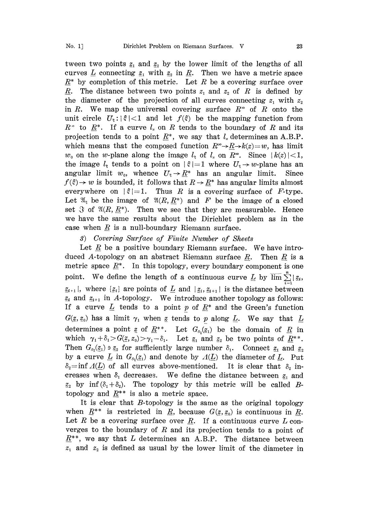tween two points  $z_1$  and  $z_2$  by the lower limit of the lengths of all curves L connecting  $\underline{z}_1$  with  $\underline{z}_2$  in  $\underline{R}$ . Then we have a metric space  $R^*$  by completion of this metric. Let R be a covering surface over  $\underline{R}$ . The distance between two points  $z_1$  and  $z_2$  of  $R$  is defined by the diameter of the projection of all curves connecting  $z_1$  with  $z_2$ in R. We map the universal covering surface  $R^*$  of R onto the unit circle  $U_{\xi}$ :  $|\xi|$ <1 and let  $f(\xi)$  be the mapping function from  $R^{\infty}$  to  $\underline{R}^{*}$ . If a curve  $l_{z}$  on R tends to the boundary of R and its projection tends to a point  $R^*$ , we say that  $l<sub>s</sub>$  determines an A.B.P. which means that the composed function  $R^{\infty} \rightarrow R \rightarrow k(z)=w$ , has limit  $w_0$  on the w-plane along the image  $l_z$  of  $l_z$  on  $R^{\infty}$ . Since  $|k(z)| < 1$ , the image  $l_{\xi}$  tends to a point on  $|\xi|=1$  where  $U_{\xi} \rightarrow w$ -plane has an angular limit  $w_0$ , whence  $U_\xi \to \underline{R}^*$  has an angular limit. Since  $f(\hat{z}) \to w$  is bounded, it follows that  $R \to \underline{R}^*$  has angular limits almost everywhere on  $|\hat{z}| = 1$ . Thus R is a covering surface of F-type. everywhere on  $|\xi|=1$ . Thus R is a covering surface of F-type. Let  $\mathfrak{A}_{\xi}$  be the image of  $\mathfrak{A}(R,\underline{R}^*)$  and F be the image of a closed set  $\Im$  of  $\mathfrak{A}(R, R^*)$ . Then we see that they are measurable. Hence we have the same results about the Dirichlet problem as in the case when  $\underline{R}$  is a null-boundary Riemann surface.

## 3) Covering Surface of Finite Number of Sheets

Let  $R$  be a positive boundary Riemann surface. We have introduced A-topology on an abstract Riemann surface R. Then R is a metric space  $\underline{R}^*$ . In this topology, every boundary component is one point. We define the length of a continuous curve  $\underline{L}$  by  $\overline{\lim} \sum_{i=1}^{n} |z_i|$ ,  $z_{i+1}$ , where  $\{z_i\}$  are points of  $L$  and  $|z_i, z_{i+1}|$  is the distance between  $z_i$  and  $z_{i+1}$  in A-topology. We introduce another topology as follows: If a curve  $\underline{L}$  tends to a point p of  $\underline{R}^*$  and the Green's function  $G(\underline{z},\underline{z}_0)$  has a limit  $\gamma_1$  when  $\underline{z}$  tends to p along  $\underline{L}$ . We say that  $\underline{L}$ determines a point z of  $\underline{R}^{**}$ . Let  $G_{\delta_1}(z_1)$  be the domain of  $\underline{R}$  in which  $\gamma_1+\delta_1>G(\underline{z},z_0)>\gamma_1-\delta_1$ . Let  $\underline{z}_1$  and  $\underline{z}_2$  be two points of  $\underline{R}^{**}$ . Then  $G_{\delta_1}(z_1) \ni z_2$  for sufficiently large number  $\delta_1$ . Connect  $z_1$  and  $z_2$ by a curve  $\underline{L}$  in  $G_{\delta_1}(z_1)$  and denote by  $\Lambda(\underline{L})$  the diameter of  $\underline{L}$ . Put  $\delta_2$ =inf  $\Lambda(L)$  of all curves above-mentioned. It is clear that  $\delta_2$  increases when  $\delta_1$  decreases. We define the distance between  $z_1$  and  $z_2$  by inf( $\delta_1 + \delta_2$ ). The topology by this metric will be called Btopology and  $R^{**}$  is also a metric space.

It is clear that  $B$ -topology is the same as the original topology when  $R^{**}$  is restricted in R, because  $G(z, z_0)$  is continuous in R. Let R be a covering surface over  $\underline{R}$ . If a continuous curve L converges to the boundary of  $R$  and its projection tends to a point of  $\underline{R}^{**}$ , we say that L determines an A.B.P. The distance between  $z_1$  and  $z_2$  is defined as usual by the lower limit of the diameter in